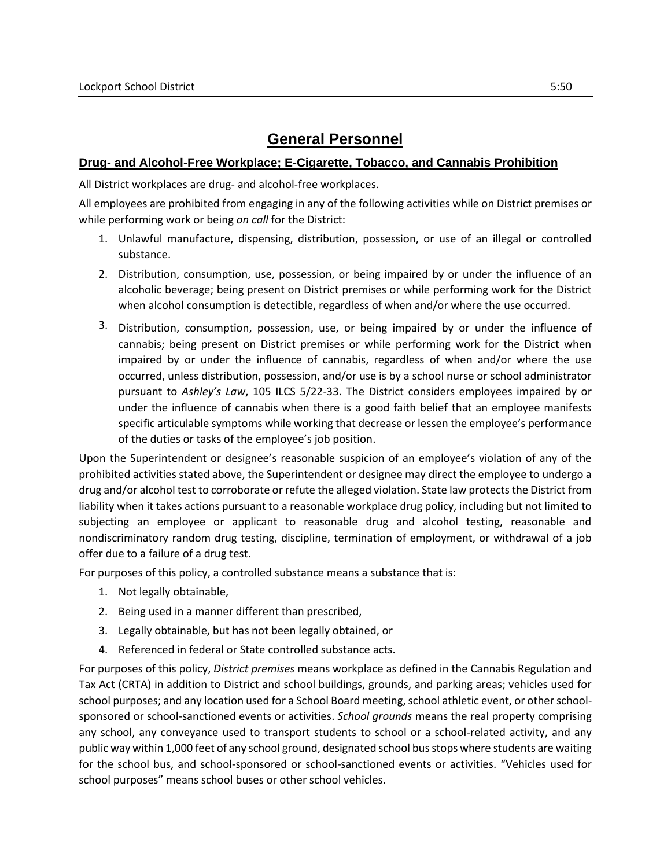## **General Personnel**

## **Drug- and Alcohol-Free Workplace; E-Cigarette, Tobacco, and Cannabis Prohibition**

All District workplaces are drug- and alcohol-free workplaces.

All employees are prohibited from engaging in any of the following activities while on District premises or while performing work or being *on call* for the District:

- 1. Unlawful manufacture, dispensing, distribution, possession, or use of an illegal or controlled substance.
- 2. Distribution, consumption, use, possession, or being impaired by or under the influence of an alcoholic beverage; being present on District premises or while performing work for the District when alcohol consumption is detectible, regardless of when and/or where the use occurred.
- 3. Distribution, consumption, possession, use, or being impaired by or under the influence of cannabis; being present on District premises or while performing work for the District when impaired by or under the influence of cannabis, regardless of when and/or where the use occurred, unless distribution, possession, and/or use is by a school nurse or school administrator pursuant to *Ashley's Law*, 105 ILCS 5/22-33. The District considers employees impaired by or under the influence of cannabis when there is a good faith belief that an employee manifests specific articulable symptoms while working that decrease or lessen the employee's performance of the duties or tasks of the employee's job position.

Upon the Superintendent or designee's reasonable suspicion of an employee's violation of any of the prohibited activities stated above, the Superintendent or designee may direct the employee to undergo a drug and/or alcohol test to corroborate or refute the alleged violation. State law protects the District from liability when it takes actions pursuant to a reasonable workplace drug policy, including but not limited to subjecting an employee or applicant to reasonable drug and alcohol testing, reasonable and nondiscriminatory random drug testing, discipline, termination of employment, or withdrawal of a job offer due to a failure of a drug test.

For purposes of this policy, a controlled substance means a substance that is:

- 1. Not legally obtainable,
- 2. Being used in a manner different than prescribed,
- 3. Legally obtainable, but has not been legally obtained, or
- 4. Referenced in federal or State controlled substance acts.

For purposes of this policy, *District premises* means workplace as defined in the Cannabis Regulation and Tax Act (CRTA) in addition to District and school buildings, grounds, and parking areas; vehicles used for school purposes; and any location used for a School Board meeting, school athletic event, or other schoolsponsored or school-sanctioned events or activities. *School grounds* means the real property comprising any school, any conveyance used to transport students to school or a school-related activity, and any public way within 1,000 feet of any school ground, designated school bus stops where students are waiting for the school bus, and school-sponsored or school-sanctioned events or activities. "Vehicles used for school purposes" means school buses or other school vehicles.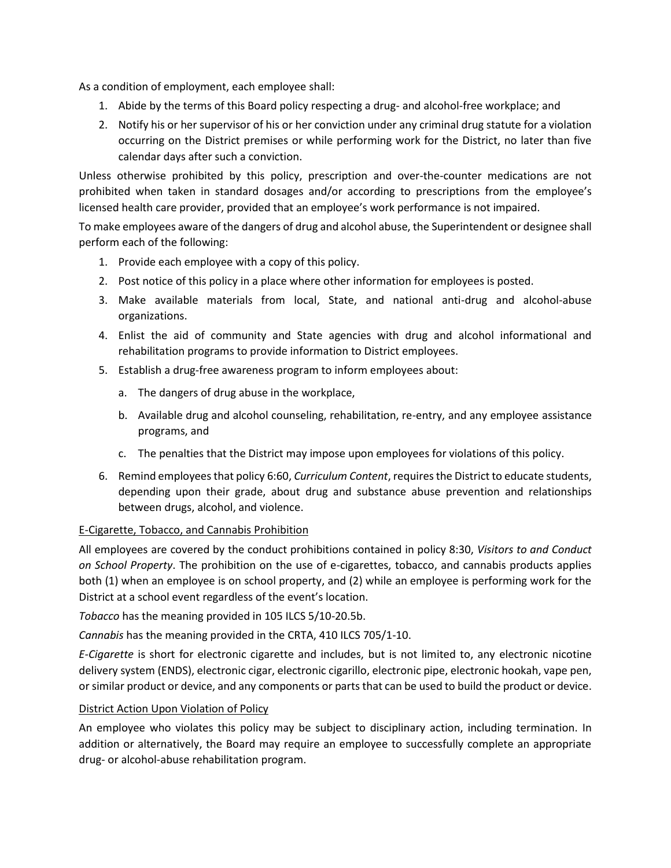As a condition of employment, each employee shall:

- 1. Abide by the terms of this Board policy respecting a drug- and alcohol-free workplace; and
- 2. Notify his or her supervisor of his or her conviction under any criminal drug statute for a violation occurring on the District premises or while performing work for the District, no later than five calendar days after such a conviction.

Unless otherwise prohibited by this policy, prescription and over-the-counter medications are not prohibited when taken in standard dosages and/or according to prescriptions from the employee's licensed health care provider, provided that an employee's work performance is not impaired.

To make employees aware of the dangers of drug and alcohol abuse, the Superintendent or designee shall perform each of the following:

- 1. Provide each employee with a copy of this policy.
- 2. Post notice of this policy in a place where other information for employees is posted.
- 3. Make available materials from local, State, and national anti-drug and alcohol-abuse organizations.
- 4. Enlist the aid of community and State agencies with drug and alcohol informational and rehabilitation programs to provide information to District employees.
- 5. Establish a drug-free awareness program to inform employees about:
	- a. The dangers of drug abuse in the workplace,
	- b. Available drug and alcohol counseling, rehabilitation, re-entry, and any employee assistance programs, and
	- c. The penalties that the District may impose upon employees for violations of this policy.
- 6. Remind employees that policy 6:60, *Curriculum Content*, requires the District to educate students, depending upon their grade, about drug and substance abuse prevention and relationships between drugs, alcohol, and violence.

## E-Cigarette, Tobacco, and Cannabis Prohibition

All employees are covered by the conduct prohibitions contained in policy 8:30, *Visitors to and Conduct on School Property*. The prohibition on the use of e-cigarettes, tobacco, and cannabis products applies both (1) when an employee is on school property, and (2) while an employee is performing work for the District at a school event regardless of the event's location.

*Tobacco* has the meaning provided in 105 ILCS 5/10-20.5b.

*Cannabis* has the meaning provided in the CRTA, 410 ILCS 705/1-10.

*E-Cigarette* is short for electronic cigarette and includes, but is not limited to, any electronic nicotine delivery system (ENDS), electronic cigar, electronic cigarillo, electronic pipe, electronic hookah, vape pen, or similar product or device, and any components or parts that can be used to build the product or device.

## District Action Upon Violation of Policy

An employee who violates this policy may be subject to disciplinary action, including termination. In addition or alternatively, the Board may require an employee to successfully complete an appropriate drug- or alcohol-abuse rehabilitation program.